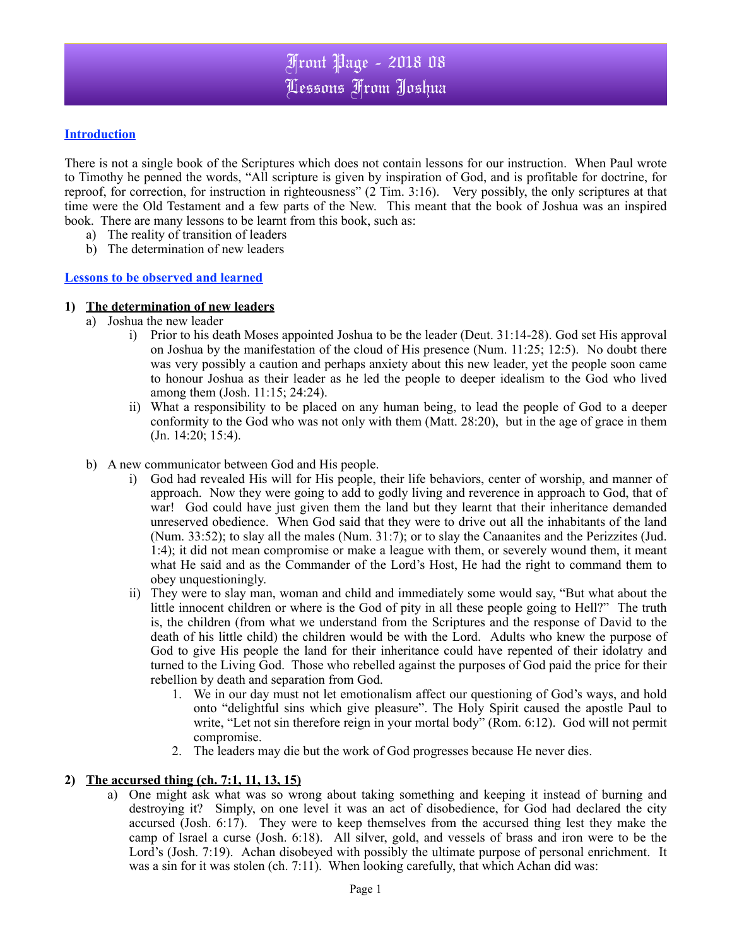# **Introduction**

There is not a single book of the Scriptures which does not contain lessons for our instruction. When Paul wrote to Timothy he penned the words, "All scripture is given by inspiration of God, and is profitable for doctrine, for reproof, for correction, for instruction in righteousness" (2 Tim. 3:16). Very possibly, the only scriptures at that time were the Old Testament and a few parts of the New. This meant that the book of Joshua was an inspired book. There are many lessons to be learnt from this book, such as:

- a) The reality of transition of leaders
- b) The determination of new leaders

### **Lessons to be observed and learned**

### **1) The determination of new leaders**

- a) Joshua the new leader
	- i) Prior to his death Moses appointed Joshua to be the leader (Deut. 31:14-28). God set His approval on Joshua by the manifestation of the cloud of His presence (Num. 11:25; 12:5). No doubt there was very possibly a caution and perhaps anxiety about this new leader, yet the people soon came to honour Joshua as their leader as he led the people to deeper idealism to the God who lived among them (Josh. 11:15; 24:24).
	- ii) What a responsibility to be placed on any human being, to lead the people of God to a deeper conformity to the God who was not only with them (Matt. 28:20), but in the age of grace in them (Jn. 14:20; 15:4).
- b) A new communicator between God and His people.
	- i) God had revealed His will for His people, their life behaviors, center of worship, and manner of approach. Now they were going to add to godly living and reverence in approach to God, that of war! God could have just given them the land but they learnt that their inheritance demanded unreserved obedience. When God said that they were to drive out all the inhabitants of the land (Num. 33:52); to slay all the males (Num. 31:7); or to slay the Canaanites and the Perizzites (Jud. 1:4); it did not mean compromise or make a league with them, or severely wound them, it meant what He said and as the Commander of the Lord's Host, He had the right to command them to obey unquestioningly.
	- ii) They were to slay man, woman and child and immediately some would say, "But what about the little innocent children or where is the God of pity in all these people going to Hell?" The truth is, the children (from what we understand from the Scriptures and the response of David to the death of his little child) the children would be with the Lord. Adults who knew the purpose of God to give His people the land for their inheritance could have repented of their idolatry and turned to the Living God. Those who rebelled against the purposes of God paid the price for their rebellion by death and separation from God.
		- 1. We in our day must not let emotionalism affect our questioning of God's ways, and hold onto "delightful sins which give pleasure". The Holy Spirit caused the apostle Paul to write, "Let not sin therefore reign in your mortal body" (Rom. 6:12). God will not permit compromise.
		- 2. The leaders may die but the work of God progresses because He never dies.

## **2) The accursed thing (ch. 7:1, 11, 13, 15)**

a) One might ask what was so wrong about taking something and keeping it instead of burning and destroying it? Simply, on one level it was an act of disobedience, for God had declared the city accursed (Josh. 6:17). They were to keep themselves from the accursed thing lest they make the camp of Israel a curse (Josh. 6:18). All silver, gold, and vessels of brass and iron were to be the Lord's (Josh. 7:19). Achan disobeyed with possibly the ultimate purpose of personal enrichment. It was a sin for it was stolen (ch. 7:11). When looking carefully, that which Achan did was: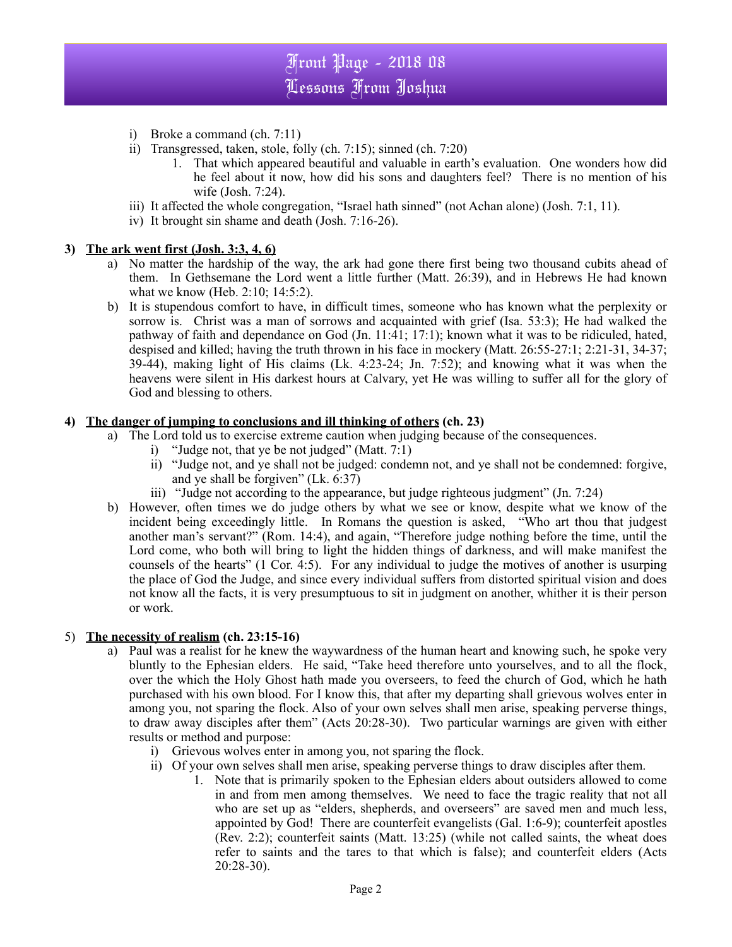- i) Broke a command (ch. 7:11)
- ii) Transgressed, taken, stole, folly (ch. 7:15); sinned (ch. 7:20)
	- 1. That which appeared beautiful and valuable in earth's evaluation. One wonders how did he feel about it now, how did his sons and daughters feel? There is no mention of his wife (Josh. 7:24).
- iii) It affected the whole congregation, "Israel hath sinned" (not Achan alone) (Josh. 7:1, 11).
- iv) It brought sin shame and death (Josh. 7:16-26).

### **3) The ark went first (Josh. 3:3, 4, 6)**

- a) No matter the hardship of the way, the ark had gone there first being two thousand cubits ahead of them. In Gethsemane the Lord went a little further (Matt. 26:39), and in Hebrews He had known what we know (Heb. 2:10; 14:5:2).
- b) It is stupendous comfort to have, in difficult times, someone who has known what the perplexity or sorrow is. Christ was a man of sorrows and acquainted with grief (Isa. 53:3); He had walked the pathway of faith and dependance on God (Jn. 11:41; 17:1); known what it was to be ridiculed, hated, despised and killed; having the truth thrown in his face in mockery (Matt. 26:55-27:1; 2:21-31, 34-37; 39-44), making light of His claims (Lk. 4:23-24; Jn. 7:52); and knowing what it was when the heavens were silent in His darkest hours at Calvary, yet He was willing to suffer all for the glory of God and blessing to others.

### **4) The danger of jumping to conclusions and ill thinking of others (ch. 23)**

- a) The Lord told us to exercise extreme caution when judging because of the consequences.
	- i) "Judge not, that ye be not judged" (Matt. 7:1)
	- ii) "Judge not, and ye shall not be judged: condemn not, and ye shall not be condemned: forgive, and ye shall be forgiven" (Lk. 6:37)
	- iii) "Judge not according to the appearance, but judge righteous judgment" (Jn. 7:24)
- b) However, often times we do judge others by what we see or know, despite what we know of the incident being exceedingly little. In Romans the question is asked, "Who art thou that judgest another man's servant?" (Rom. 14:4), and again, "Therefore judge nothing before the time, until the Lord come, who both will bring to light the hidden things of darkness, and will make manifest the counsels of the hearts" (1 Cor. 4:5). For any individual to judge the motives of another is usurping the place of God the Judge, and since every individual suffers from distorted spiritual vision and does not know all the facts, it is very presumptuous to sit in judgment on another, whither it is their person or work.

#### 5) **The necessity of realism (ch. 23:15-16)**

- a) Paul was a realist for he knew the waywardness of the human heart and knowing such, he spoke very bluntly to the Ephesian elders. He said, "Take heed therefore unto yourselves, and to all the flock, over the which the Holy Ghost hath made you overseers, to feed the church of God, which he hath purchased with his own blood. For I know this, that after my departing shall grievous wolves enter in among you, not sparing the flock. Also of your own selves shall men arise, speaking perverse things, to draw away disciples after them" (Acts 20:28-30). Two particular warnings are given with either results or method and purpose:
	- i) Grievous wolves enter in among you, not sparing the flock.
	- ii) Of your own selves shall men arise, speaking perverse things to draw disciples after them.
		- 1. Note that is primarily spoken to the Ephesian elders about outsiders allowed to come in and from men among themselves. We need to face the tragic reality that not all who are set up as "elders, shepherds, and overseers" are saved men and much less, appointed by God! There are counterfeit evangelists (Gal. 1:6-9); counterfeit apostles (Rev. 2:2); counterfeit saints (Matt. 13:25) (while not called saints, the wheat does refer to saints and the tares to that which is false); and counterfeit elders (Acts 20:28-30).